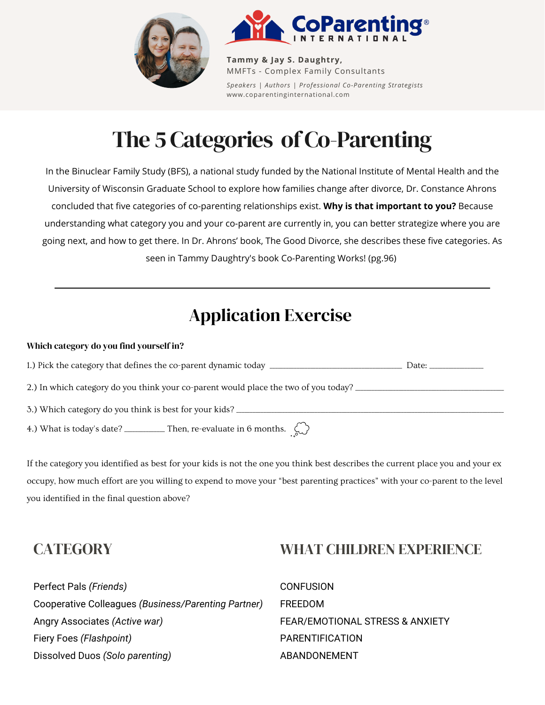



**Tammy & Jay S. Daughtry,** MMFTs - Complex Family Consultants *Speakers | Authors | Professional Co-Parenting Strategists* www.coparentinginternational.com

# The 5 Categories of Co-Parenting

In the Binuclear Family Study (BFS), a national study funded by the National Institute of Mental Health and the University of Wisconsin Graduate School to explore how families change after divorce, Dr. Constance Ahrons concluded that five categories of co-parenting relationships exist. **Why is that important to you?** Because understanding what category you and your co-parent are currently in, you can better strategize where you are going next, and how to get there. In Dr. Ahrons' book, The Good Divorce, she describes these five categories. As seen in Tammy Daughtry's book Co-Parenting Works! (pg.96)

## Application Exercise

| Which category do you find yourself in?                                                           |  |
|---------------------------------------------------------------------------------------------------|--|
|                                                                                                   |  |
| 2.) In which category do you think your co-parent would place the two of you today?               |  |
| 3.) Which category do you think is best for your kids?                                            |  |
| 4.) What is today's date? ___________ Then, re-evaluate in 6 months. $\langle \downarrow \rangle$ |  |

If the category you identified as best for your kids is not the one you think best describes the current place you and your ex occupy, how much effort are you willing to expend to move your "best parenting practices" with your co-parent to the level you identified in the final question above?

#### CATEGORY WHAT CHILDREN EXPERIENCE

| Perfect Pals (Friends)                              | <b>CONFUSION</b>                |
|-----------------------------------------------------|---------------------------------|
| Cooperative Colleagues (Business/Parenting Partner) | FREEDOM                         |
| Angry Associates (Active war)                       | FEAR/EMOTIONAL STRESS & ANXIETY |
| Fiery Foes (Flashpoint)                             | <b>PARENTIFICATION</b>          |
| Dissolved Duos (Solo parenting)                     | ABANDONEMENT                    |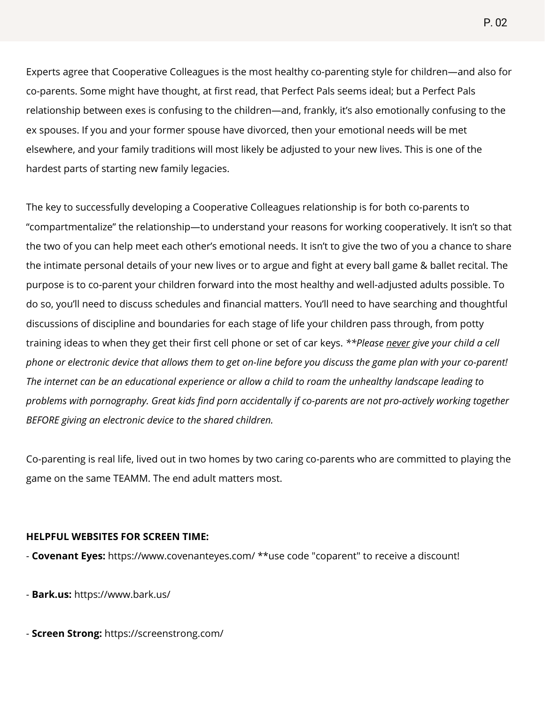Experts agree that Cooperative Colleagues is the most healthy co-parenting style for children—and also for co-parents. Some might have thought, at first read, that Perfect Pals seems ideal; but a Perfect Pals relationship between exes is confusing to the children—and, frankly, it's also emotionally confusing to the ex spouses. If you and your former spouse have divorced, then your emotional needs will be met elsewhere, and your family traditions will most likely be adjusted to your new lives. This is one of the hardest parts of starting new family legacies.

The key to successfully developing a Cooperative Colleagues relationship is for both co-parents to "compartmentalize" the relationship—to understand your reasons for working cooperatively. It isn't so that the two of you can help meet each other's emotional needs. It isn't to give the two of you a chance to share the intimate personal details of your new lives or to argue and fight at every ball game & ballet recital. The purpose is to co-parent your children forward into the most healthy and well-adjusted adults possible. To do so, you'll need to discuss schedules and financial matters. You'll need to have searching and thoughtful discussions of discipline and boundaries for each stage of life your children pass through, from potty training ideas to when they get their first cell phone or set of car keys. *\*\*Please never give your child a cell* phone or electronic device that allows them to get on-line before you discuss the game plan with your co-parent! The internet can be an educational experience or allow a child to roam the unhealthy landscape leading to *problems with pornography. Great kids find porn accidentally if co-parents are not pro-actively working together BEFORE giving an electronic device to the shared children.*

Co-parenting is real life, lived out in two homes by two caring co-parents who are committed to playing the game on the same TEAMM. The end adult matters most.

#### **HELPFUL WEBSITES FOR SCREEN TIME:**

- **Covenant Eyes:** https://www.covenanteyes.com/ \*\*use code "coparent" to receive a discount!

- **Bark.us:** https://www.bark.us/

- **Screen Strong:** https://screenstrong.com/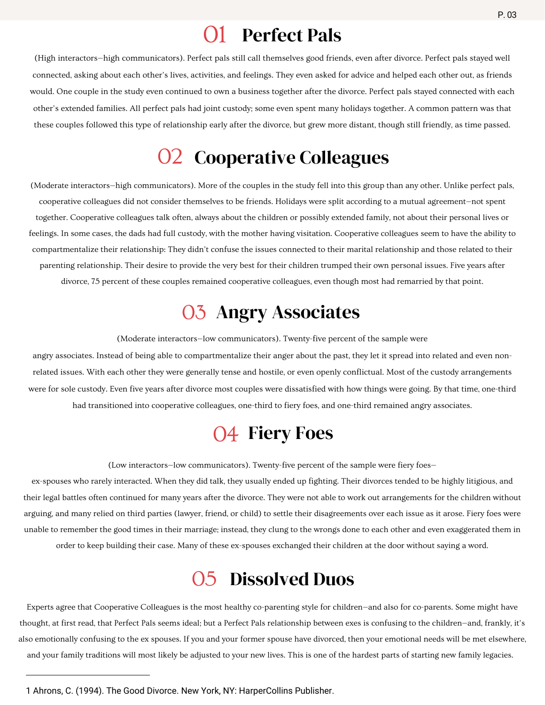### 01 Perfect Pals

(High interactors—high communicators). Perfect pals still call themselves good friends, even after divorce. Perfect pals stayed well connected, asking about each other's lives, activities, and feelings. They even asked for advice and helped each other out, as friends would. One couple in the study even continued to own a business together after the divorce. Perfect pals stayed connected with each other's extended families. All perfect pals had joint custody; some even spent many holidays together. A common pattern was that these couples followed this type of relationship early after the divorce, but grew more distant, though still friendly, as time passed.

## 02 Cooperative Colleagues

(Moderate interactors—high communicators). More of the couples in the study fell into this group than any other. Unlike perfect pals, cooperative colleagues did not consider themselves to be friends. Holidays were split according to a mutual agreement—not spent together. Cooperative colleagues talk often, always about the children or possibly extended family, not about their personal lives or feelings. In some cases, the dads had full custody, with the mother having visitation. Cooperative colleagues seem to have the ability to compartmentalize their relationship: They didn't confuse the issues connected to their marital relationship and those related to their parenting relationship. Their desire to provide the very best for their children trumped their own personal issues. Five years after divorce, 75 percent of these couples remained cooperative colleagues, even though most had remarried by that point.

### 03 Angry Associates

(Moderate interactors—low communicators). Twenty-five percent of the sample were

angry associates. Instead of being able to compartmentalize their anger about the past, they let it spread into related and even nonrelated issues. With each other they were generally tense and hostile, or even openly conflictual. Most of the custody arrangements were for sole custody. Even five years after divorce most couples were dissatisfied with how things were going. By that time, one-third had transitioned into cooperative colleagues, one-third to fiery foes, and one-third remained angry associates.

### 04 Fiery Foes

(Low interactors—low communicators). Twenty-five percent of the sample were fiery foes—

ex-spouses who rarely interacted. When they did talk, they usually ended up fighting. Their divorces tended to be highly litigious, and their legal battles often continued for many years after the divorce. They were not able to work out arrangements for the children without arguing, and many relied on third parties (lawyer, friend, or child) to settle their disagreements over each issue as it arose. Fiery foes were unable to remember the good times in their marriage; instead, they clung to the wrongs done to each other and even exaggerated them in order to keep building their case. Many of these ex-spouses exchanged their children at the door without saying a word.

#### 05 Dissolved Duos

Experts agree that Cooperative Colleagues is the most healthy co-parenting style for children—and also for co-parents. Some might have thought, at first read, that Perfect Pals seems ideal; but a Perfect Pals relationship between exes is confusing to the children—and, frankly, it's also emotionally confusing to the ex spouses. If you and your former spouse have divorced, then your emotional needs will be met elsewhere, and your family traditions will most likely be adjusted to your new lives. This is one of the hardest parts of starting new family legacies.

<sup>1</sup> Ahrons, C. (1994). The Good Divorce. New York, NY: HarperCollins Publisher.